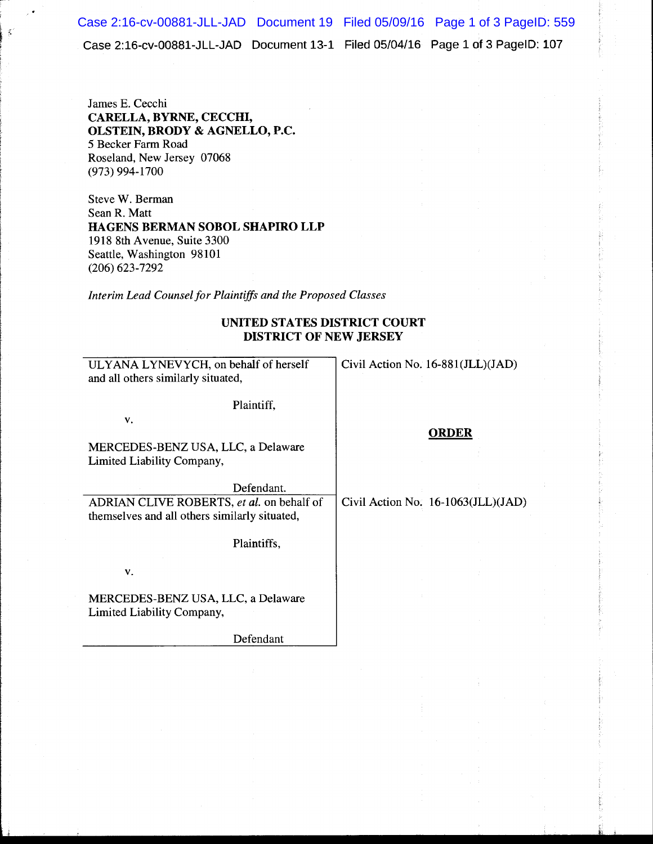Case 2:16-cv-00881-JLL-JAD Document 13-1 Filed 05/04/16 Page 1of3 PagelD: 107 Case 2:16-cv-00881-JLL-JAD Document 19 Filed 05/09/16 Page 1 of 3 PageID: 559

James E. Cecchi CARELLA, BYRNE, CECCHI, OLSTEIN, BRODY & AGNELLO, P.C. 5 Becker Farm Road Roseland, New Jersey 07068 (973) 994-1700

 $\mathbf{r}$  .

Steve W. Berman Sean R. Matt HAGENS BERMAN SOBOL SHAPIRO LLP 1918 8th Avenue, Suite 3300 Seattle, Washington 98101 (206) 623-7292

*Interim Lead Counsel for Plaintiffs and the Proposed Classes* 

## UNITED STATES DISTRICT COURT DISTRICT OF NEW JERSEY

| ULYANA LYNEVYCH, on behalf of herself<br>and all others similarly situated,                | Civil Action No. 16-881(JLL)(JAD)    |
|--------------------------------------------------------------------------------------------|--------------------------------------|
| Plaintiff,                                                                                 |                                      |
| v.                                                                                         | <b>ORDER</b>                         |
| MERCEDES-BENZ USA, LLC, a Delaware<br>Limited Liability Company,                           |                                      |
| Defendant.                                                                                 |                                      |
| ADRIAN CLIVE ROBERTS, et al. on behalf of<br>themselves and all others similarly situated, | Civil Action No. $16-1063(JLL)(JAD)$ |
| Plaintiffs,                                                                                |                                      |
| v.                                                                                         |                                      |
| MERCEDES-BENZ USA, LLC, a Delaware<br>Limited Liability Company,                           |                                      |
| Defendant                                                                                  |                                      |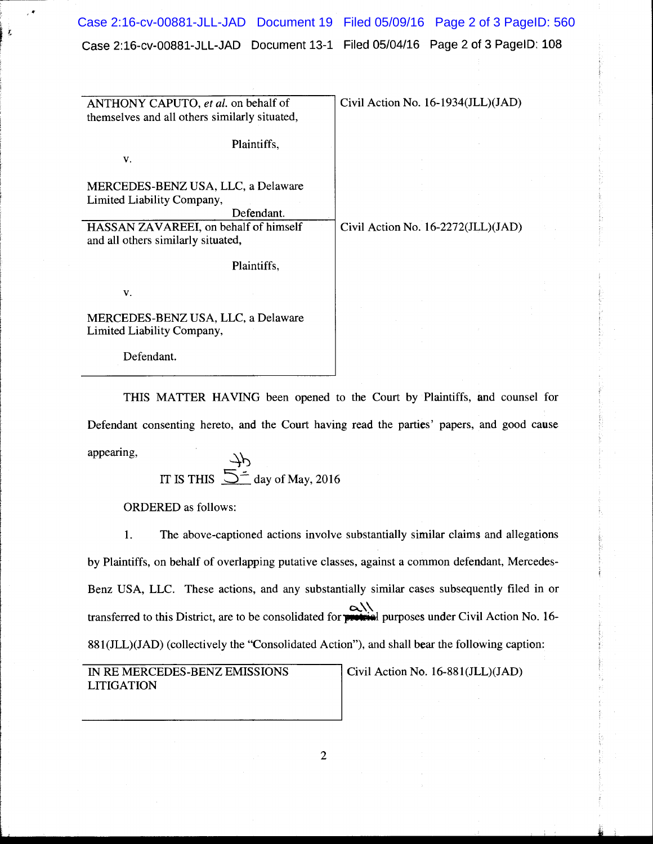Case 2:16-cv-00881-JLL-JAD Document 13-1 Filed 05/04/16 Page 2 of 3 PagelD: 108 Case 2:16-cv-00881-JLL-JAD Document 19 Filed 05/09/16 Page 2 of 3 PageID: 560

| ANTHONY CAPUTO, et al. on behalf of           | Civil Action No. 16-1934(JLL)(JAD) |
|-----------------------------------------------|------------------------------------|
| themselves and all others similarly situated, |                                    |
|                                               |                                    |
| Plaintiffs,                                   |                                    |
| V.                                            |                                    |
|                                               |                                    |
| MERCEDES-BENZ USA, LLC, a Delaware            |                                    |
| Limited Liability Company,                    |                                    |
| Defendant.                                    |                                    |
| HASSAN ZAVAREEI, on behalf of himself         | Civil Action No. 16-2272(JLL)(JAD) |
| and all others similarly situated,            |                                    |
| Plaintiffs,                                   |                                    |
|                                               |                                    |
| V.                                            |                                    |
|                                               |                                    |
| MERCEDES-BENZ USA, LLC, a Delaware            |                                    |
| Limited Liability Company,                    |                                    |
|                                               |                                    |

Defendant.

THIS MATTER HAVING been opened to the Court by Plaintiffs, and counsel for Defendant consenting hereto, and the Court having read the parties' papers, and good cause

appearing,  $\rightarrow b$ 

IT IS THIS  $\overline{\bigcirc}$  day of May, 2016

ORDERED as follows:

1. The above-captioned actions involve substantially similar claims and allegations by Plaintiffs, on behalf of overlapping putative classes, against a common defendant, Mercedes-Benz USA, LLC. These actions, and any substantially similar cases subsequently filed in or ~\\ transferred to this District, are to be consolidated for **p ktil** purposes under Civil Action No. 16- 881(JLL)(JAD) (collectively the "Consolidated Action"), and shall bear the following caption:

IN RE MERCEDES-BENZ EMISSIONS LITIGATION

Civil Action No. 16-881(JLL)(JAD)